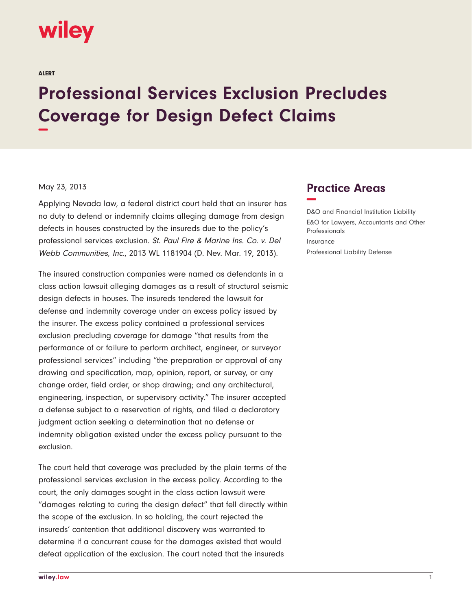## wiley

ALERT

## **Professional Services Exclusion Precludes Coverage for Design Defect Claims −**

## May 23, 2013

Applying Nevada law, a federal district court held that an insurer has no duty to defend or indemnify claims alleging damage from design defects in houses constructed by the insureds due to the policy's professional services exclusion. St. Paul Fire & Marine Ins. Co. v. Del Webb Communities, Inc., 2013 WL 1181904 (D. Nev. Mar. 19, 2013).

The insured construction companies were named as defendants in a class action lawsuit alleging damages as a result of structural seismic design defects in houses. The insureds tendered the lawsuit for defense and indemnity coverage under an excess policy issued by the insurer. The excess policy contained a professional services exclusion precluding coverage for damage "that results from the performance of or failure to perform architect, engineer, or surveyor professional services" including "the preparation or approval of any drawing and specification, map, opinion, report, or survey, or any change order, field order, or shop drawing; and any architectural, engineering, inspection, or supervisory activity." The insurer accepted a defense subject to a reservation of rights, and filed a declaratory judgment action seeking a determination that no defense or indemnity obligation existed under the excess policy pursuant to the exclusion.

The court held that coverage was precluded by the plain terms of the professional services exclusion in the excess policy. According to the court, the only damages sought in the class action lawsuit were "damages relating to curing the design defect" that fell directly within the scope of the exclusion. In so holding, the court rejected the insureds' contention that additional discovery was warranted to determine if a concurrent cause for the damages existed that would defeat application of the exclusion. The court noted that the insureds

## **Practice Areas −**

D&O and Financial Institution Liability E&O for Lawyers, Accountants and Other Professionals Insurance Professional Liability Defense